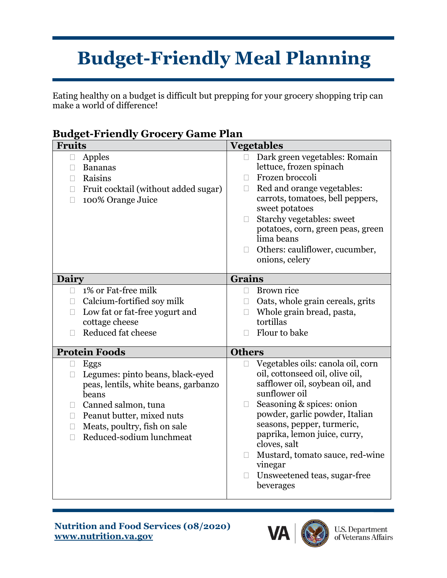## **Budget-Friendly Meal Planning**

Eating healthy on a budget is difficult but prepping for your grocery shopping trip can make a world of difference!

| .<br>----                                                                                                                                                                                                                           |                                                                                                                                                                                                                                                                                                                                                                            |
|-------------------------------------------------------------------------------------------------------------------------------------------------------------------------------------------------------------------------------------|----------------------------------------------------------------------------------------------------------------------------------------------------------------------------------------------------------------------------------------------------------------------------------------------------------------------------------------------------------------------------|
| <b>Fruits</b>                                                                                                                                                                                                                       | <b>Vegetables</b>                                                                                                                                                                                                                                                                                                                                                          |
| Apples<br>$\Box$<br><b>Bananas</b><br>П<br>Raisins<br>П<br>Fruit cocktail (without added sugar)<br>$\Box$<br>100% Orange Juice<br>П                                                                                                 | Dark green vegetables: Romain<br>$\Box$<br>lettuce, frozen spinach<br>Frozen broccoli<br>П<br>Red and orange vegetables:<br>П<br>carrots, tomatoes, bell peppers,<br>sweet potatoes<br>Starchy vegetables: sweet<br>П<br>potatoes, corn, green peas, green<br>lima beans<br>Others: cauliflower, cucumber,<br>П<br>onions, celery                                          |
| Dairy                                                                                                                                                                                                                               | <b>Grains</b>                                                                                                                                                                                                                                                                                                                                                              |
| 1% or Fat-free milk<br>П.                                                                                                                                                                                                           | Brown rice<br>$\Box$                                                                                                                                                                                                                                                                                                                                                       |
| Calcium-fortified soy milk<br>$\mathbf{L}$                                                                                                                                                                                          | Oats, whole grain cereals, grits                                                                                                                                                                                                                                                                                                                                           |
|                                                                                                                                                                                                                                     | П                                                                                                                                                                                                                                                                                                                                                                          |
| Low fat or fat-free yogurt and<br>П                                                                                                                                                                                                 | Whole grain bread, pasta,<br>П<br>tortillas                                                                                                                                                                                                                                                                                                                                |
| cottage cheese                                                                                                                                                                                                                      | Flour to bake                                                                                                                                                                                                                                                                                                                                                              |
| Reduced fat cheese<br>П                                                                                                                                                                                                             |                                                                                                                                                                                                                                                                                                                                                                            |
| <b>Protein Foods</b>                                                                                                                                                                                                                | <b>Others</b>                                                                                                                                                                                                                                                                                                                                                              |
| Eggs<br>□<br>Legumes: pinto beans, black-eyed<br>П<br>peas, lentils, white beans, garbanzo<br>beans<br>Canned salmon, tuna<br>Peanut butter, mixed nuts<br>П.<br>Meats, poultry, fish on sale<br>П<br>Reduced-sodium lunchmeat<br>П | Vegetables oils: canola oil, corn<br>oil, cottonseed oil, olive oil,<br>safflower oil, soybean oil, and<br>sunflower oil<br>Seasoning & spices: onion<br>$\Box$<br>powder, garlic powder, Italian<br>seasons, pepper, turmeric,<br>paprika, lemon juice, curry,<br>cloves, salt<br>Mustard, tomato sauce, red-wine<br>vinegar<br>Unsweetened teas, sugar-free<br>beverages |

## **Budget-Friendly Grocery Game Plan**